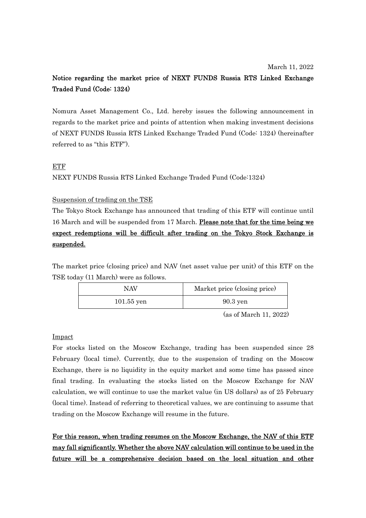# Notice regarding the market price of NEXT FUNDS Russia RTS Linked Exchange Traded Fund (Code: 1324)

Nomura Asset Management Co., Ltd. hereby issues the following announcement in regards to the market price and points of attention when making investment decisions of NEXT FUNDS Russia RTS Linked Exchange Traded Fund (Code: 1324) (hereinafter referred to as "this ETF").

## ETF

NEXT FUNDS Russia RTS Linked Exchange Traded Fund (Code:1324)

## Suspension of trading on the TSE

The Tokyo Stock Exchange has announced that trading of this ETF will continue until 16 March and will be suspended from 17 March. Please note that for the time being we expect redemptions will be difficult after trading on the Tokyo Stock Exchange is suspended.

The market price (closing price) and NAV (net asset value per unit) of this ETF on the TSE today (11 March) were as follows.

| NAV          | Market price (closing price) |
|--------------|------------------------------|
| $101.55$ yen | $90.3$ yen                   |

(as of March 11, 2022)

### Impact

For stocks listed on the Moscow Exchange, trading has been suspended since 28 February (local time). Currently, due to the suspension of trading on the Moscow Exchange, there is no liquidity in the equity market and some time has passed since final trading. In evaluating the stocks listed on the Moscow Exchange for NAV calculation, we will continue to use the market value (in US dollars) as of 25 February (local time). Instead of referring to theoretical values, we are continuing to assume that trading on the Moscow Exchange will resume in the future.

For this reason, when trading resumes on the Moscow Exchange, the NAV of this ETF may fall significantly. Whether the above NAV calculation will continue to be used in the future will be a comprehensive decision based on the local situation and other